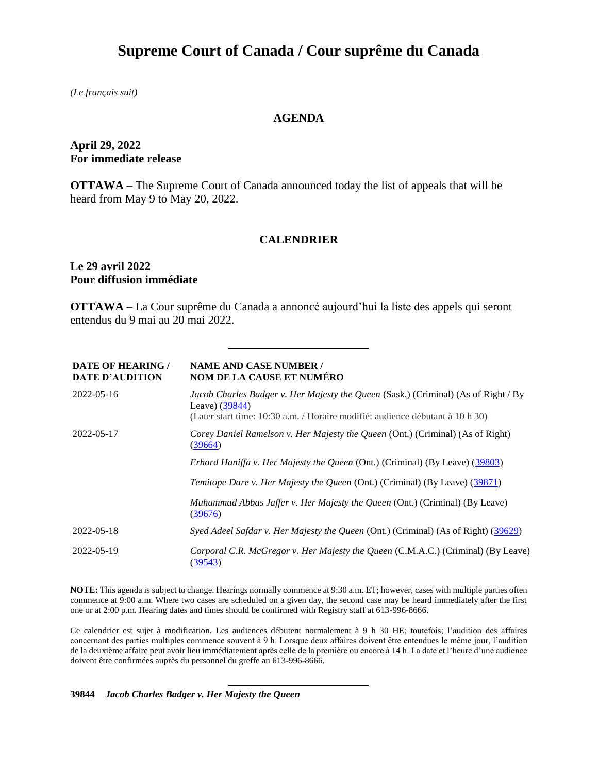# **Supreme Court of Canada / Cour suprême du Canada**

*(Le français suit)*

# **AGENDA**

# **April 29, 2022 For immediate release**

**OTTAWA** – The Supreme Court of Canada announced today the list of appeals that will be heard from May 9 to May 20, 2022.

## **CALENDRIER**

## **Le 29 avril 2022 Pour diffusion immédiate**

**OTTAWA** – La Cour suprême du Canada a annoncé aujourd'hui la liste des appels qui seront entendus du 9 mai au 20 mai 2022.

| <b>DATE OF HEARING /</b><br><b>DATE D'AUDITION</b> | <b>NAME AND CASE NUMBER /</b><br><b>NOM DE LA CAUSE ET NUMÉRO</b>                                                                                                                       |
|----------------------------------------------------|-----------------------------------------------------------------------------------------------------------------------------------------------------------------------------------------|
| 2022-05-16                                         | Jacob Charles Badger v. Her Majesty the Queen (Sask.) (Criminal) (As of Right / By<br>Leave) $(39844)$<br>(Later start time: 10:30 a.m. / Horaire modifié: audience débutant à 10 h 30) |
|                                                    |                                                                                                                                                                                         |
| 2022-05-17                                         | Corey Daniel Ramelson v. Her Majesty the Queen (Ont.) (Criminal) (As of Right)<br>(39664)                                                                                               |
|                                                    | <i>Erhard Haniffa v. Her Majesty the Queen (Ont.) (Criminal) (By Leave) (39803)</i>                                                                                                     |
|                                                    | <i>Temitope Dare v. Her Majesty the Queen (Ont.) (Criminal) (By Leave) (39871)</i>                                                                                                      |
|                                                    | <i>Muhammad Abbas Jaffer v. Her Majesty the Queen (Ont.) (Criminal) (By Leave)</i><br>(39676)                                                                                           |
| 2022-05-18                                         | Syed Adeel Safdar v. Her Majesty the Queen (Ont.) (Criminal) (As of Right) (39629)                                                                                                      |
| 2022-05-19                                         | Corporal C.R. McGregor v. Her Majesty the Queen (C.M.A.C.) (Criminal) (By Leave)<br>(39543)                                                                                             |

**NOTE:** This agenda is subject to change. Hearings normally commence at 9:30 a.m. ET; however, cases with multiple parties often commence at 9:00 a.m. Where two cases are scheduled on a given day, the second case may be heard immediately after the first one or at 2:00 p.m. Hearing dates and times should be confirmed with Registry staff at 613-996-8666.

Ce calendrier est sujet à modification. Les audiences débutent normalement à 9 h 30 HE; toutefois; l'audition des affaires concernant des parties multiples commence souvent à 9 h. Lorsque deux affaires doivent être entendues le même jour, l'audition de la deuxième affaire peut avoir lieu immédiatement après celle de la première ou encore à 14 h. La date et l'heure d'une audience doivent être confirmées auprès du personnel du greffe au 613-996-8666.

#### **39844** *Jacob Charles Badger v. Her Majesty the Queen*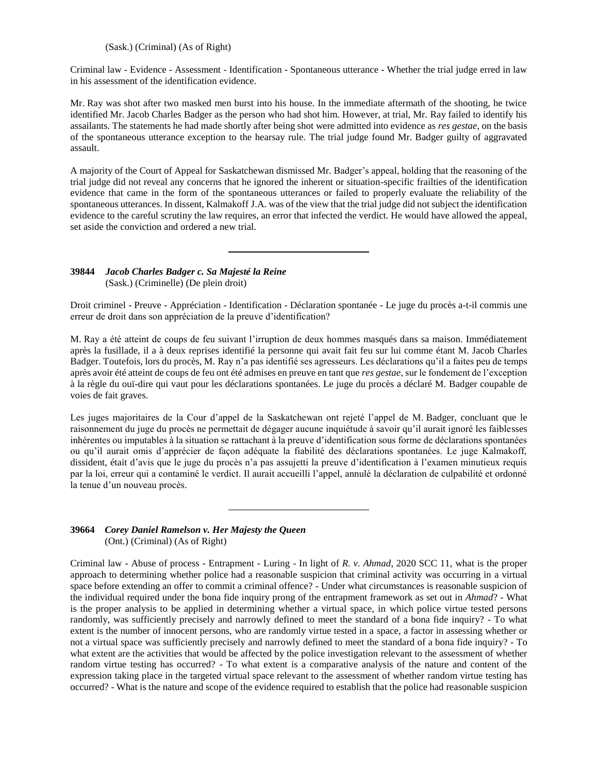#### (Sask.) (Criminal) (As of Right)

Criminal law - Evidence - Assessment - Identification - Spontaneous utterance - Whether the trial judge erred in law in his assessment of the identification evidence.

Mr. Ray was shot after two masked men burst into his house. In the immediate aftermath of the shooting, he twice identified Mr. Jacob Charles Badger as the person who had shot him. However, at trial, Mr. Ray failed to identify his assailants. The statements he had made shortly after being shot were admitted into evidence as *res gestae*, on the basis of the spontaneous utterance exception to the hearsay rule. The trial judge found Mr. Badger guilty of aggravated assault.

A majority of the Court of Appeal for Saskatchewan dismissed Mr. Badger's appeal, holding that the reasoning of the trial judge did not reveal any concerns that he ignored the inherent or situation-specific frailties of the identification evidence that came in the form of the spontaneous utterances or failed to properly evaluate the reliability of the spontaneous utterances. In dissent, Kalmakoff J.A. was of the view that the trial judge did not subject the identification evidence to the careful scrutiny the law requires, an error that infected the verdict. He would have allowed the appeal, set aside the conviction and ordered a new trial.

#### **39844** *Jacob Charles Badger c. Sa Majesté la Reine* (Sask.) (Criminelle) (De plein droit)

Droit criminel - Preuve - Appréciation - Identification - Déclaration spontanée - Le juge du procès a-t-il commis une erreur de droit dans son appréciation de la preuve d'identification?

M. Ray a été atteint de coups de feu suivant l'irruption de deux hommes masqués dans sa maison. Immédiatement après la fusillade, il a à deux reprises identifié la personne qui avait fait feu sur lui comme étant M. Jacob Charles Badger. Toutefois, lors du procès, M. Ray n'a pas identifié ses agresseurs. Les déclarations qu'il a faites peu de temps après avoir été atteint de coups de feu ont été admises en preuve en tant que *res gestae*, sur le fondement de l'exception à la règle du ouï-dire qui vaut pour les déclarations spontanées. Le juge du procès a déclaré M. Badger coupable de voies de fait graves.

Les juges majoritaires de la Cour d'appel de la Saskatchewan ont rejeté l'appel de M. Badger, concluant que le raisonnement du juge du procès ne permettait de dégager aucune inquiétude à savoir qu'il aurait ignoré les faiblesses inhérentes ou imputables à la situation se rattachant à la preuve d'identification sous forme de déclarations spontanées ou qu'il aurait omis d'apprécier de façon adéquate la fiabilité des déclarations spontanées. Le juge Kalmakoff, dissident, était d'avis que le juge du procès n'a pas assujetti la preuve d'identification à l'examen minutieux requis par la loi, erreur qui a contaminé le verdict. Il aurait accueilli l'appel, annulé la déclaration de culpabilité et ordonné la tenue d'un nouveau procès.

#### **39664** *Corey Daniel Ramelson v. Her Majesty the Queen* (Ont.) (Criminal) (As of Right)

Criminal law - Abuse of process - Entrapment - Luring - In light of *R. v. Ahmad*, 2020 SCC 11, what is the proper approach to determining whether police had a reasonable suspicion that criminal activity was occurring in a virtual space before extending an offer to commit a criminal offence? - Under what circumstances is reasonable suspicion of the individual required under the bona fide inquiry prong of the entrapment framework as set out in *Ahmad*? - What is the proper analysis to be applied in determining whether a virtual space, in which police virtue tested persons randomly, was sufficiently precisely and narrowly defined to meet the standard of a bona fide inquiry? - To what extent is the number of innocent persons, who are randomly virtue tested in a space, a factor in assessing whether or not a virtual space was sufficiently precisely and narrowly defined to meet the standard of a bona fide inquiry? - To what extent are the activities that would be affected by the police investigation relevant to the assessment of whether random virtue testing has occurred? - To what extent is a comparative analysis of the nature and content of the expression taking place in the targeted virtual space relevant to the assessment of whether random virtue testing has occurred? - What is the nature and scope of the evidence required to establish that the police had reasonable suspicion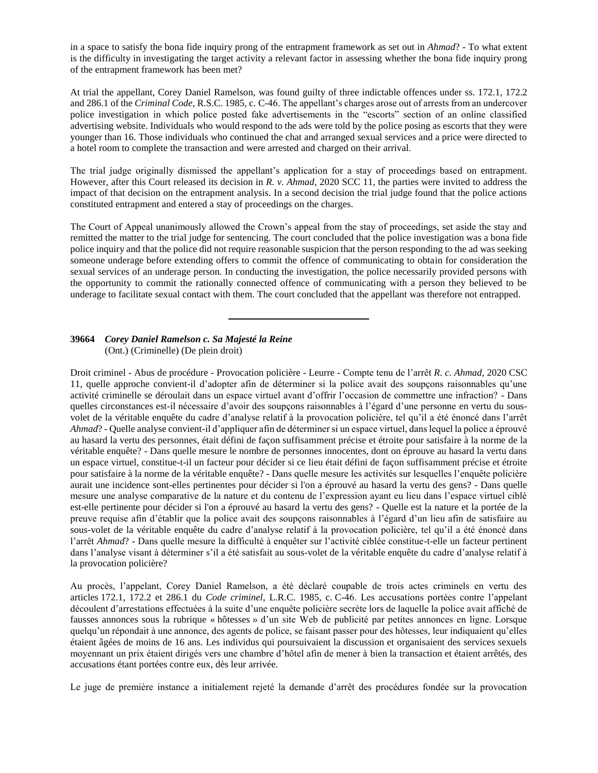in a space to satisfy the bona fide inquiry prong of the entrapment framework as set out in *Ahmad*? - To what extent is the difficulty in investigating the target activity a relevant factor in assessing whether the bona fide inquiry prong of the entrapment framework has been met?

At trial the appellant, Corey Daniel Ramelson, was found guilty of three indictable offences under ss. 172.1, 172.2 and 286.1 of the *Criminal Code*, R.S.C. 1985, c. C-46. The appellant's charges arose out of arrests from an undercover police investigation in which police posted fake advertisements in the "escorts" section of an online classified advertising website. Individuals who would respond to the ads were told by the police posing as escorts that they were younger than 16. Those individuals who continued the chat and arranged sexual services and a price were directed to a hotel room to complete the transaction and were arrested and charged on their arrival.

The trial judge originally dismissed the appellant's application for a stay of proceedings based on entrapment. However, after this Court released its decision in *R. v. Ahmad*, 2020 SCC 11, the parties were invited to address the impact of that decision on the entrapment analysis. In a second decision the trial judge found that the police actions constituted entrapment and entered a stay of proceedings on the charges.

The Court of Appeal unanimously allowed the Crown's appeal from the stay of proceedings, set aside the stay and remitted the matter to the trial judge for sentencing. The court concluded that the police investigation was a bona fide police inquiry and that the police did not require reasonable suspicion that the person responding to the ad was seeking someone underage before extending offers to commit the offence of communicating to obtain for consideration the sexual services of an underage person. In conducting the investigation, the police necessarily provided persons with the opportunity to commit the rationally connected offence of communicating with a person they believed to be underage to facilitate sexual contact with them. The court concluded that the appellant was therefore not entrapped.

### **39664** *Corey Daniel Ramelson c. Sa Majesté la Reine* (Ont.) (Criminelle) (De plein droit)

Droit criminel - Abus de procédure - Provocation policière - Leurre - Compte tenu de l'arrêt *R. c. Ahmad*, 2020 CSC 11, quelle approche convient-il d'adopter afin de déterminer si la police avait des soupçons raisonnables qu'une activité criminelle se déroulait dans un espace virtuel avant d'offrir l'occasion de commettre une infraction? - Dans quelles circonstances est-il nécessaire d'avoir des soupçons raisonnables à l'égard d'une personne en vertu du sousvolet de la véritable enquête du cadre d'analyse relatif à la provocation policière, tel qu'il a été énoncé dans l'arrêt *Ahmad*? - Quelle analyse convient-il d'appliquer afin de déterminer si un espace virtuel, dans lequel la police a éprouvé au hasard la vertu des personnes, était défini de façon suffisamment précise et étroite pour satisfaire à la norme de la véritable enquête? - Dans quelle mesure le nombre de personnes innocentes, dont on éprouve au hasard la vertu dans un espace virtuel, constitue-t-il un facteur pour décider si ce lieu était défini de façon suffisamment précise et étroite pour satisfaire à la norme de la véritable enquête? - Dans quelle mesure les activités sur lesquelles l'enquête policière aurait une incidence sont-elles pertinentes pour décider si l'on a éprouvé au hasard la vertu des gens? - Dans quelle mesure une analyse comparative de la nature et du contenu de l'expression ayant eu lieu dans l'espace virtuel ciblé est-elle pertinente pour décider si l'on a éprouvé au hasard la vertu des gens? - Quelle est la nature et la portée de la preuve requise afin d'établir que la police avait des soupçons raisonnables à l'égard d'un lieu afin de satisfaire au sous-volet de la véritable enquête du cadre d'analyse relatif à la provocation policière, tel qu'il a été énoncé dans l'arrêt *Ahmad*? - Dans quelle mesure la difficulté à enquêter sur l'activité ciblée constitue-t-elle un facteur pertinent dans l'analyse visant à déterminer s'il a été satisfait au sous-volet de la véritable enquête du cadre d'analyse relatif à la provocation policière?

Au procès, l'appelant, Corey Daniel Ramelson, a été déclaré coupable de trois actes criminels en vertu des articles 172.1, 172.2 et 286.1 du *Code criminel*, L.R.C. 1985, c. C-46. Les accusations portées contre l'appelant découlent d'arrestations effectuées à la suite d'une enquête policière secrète lors de laquelle la police avait affiché de fausses annonces sous la rubrique « hôtesses » d'un site Web de publicité par petites annonces en ligne. Lorsque quelqu'un répondait à une annonce, des agents de police, se faisant passer pour des hôtesses, leur indiquaient qu'elles étaient âgées de moins de 16 ans. Les individus qui poursuivaient la discussion et organisaient des services sexuels moyennant un prix étaient dirigés vers une chambre d'hôtel afin de mener à bien la transaction et étaient arrêtés, des accusations étant portées contre eux, dès leur arrivée.

Le juge de première instance a initialement rejeté la demande d'arrêt des procédures fondée sur la provocation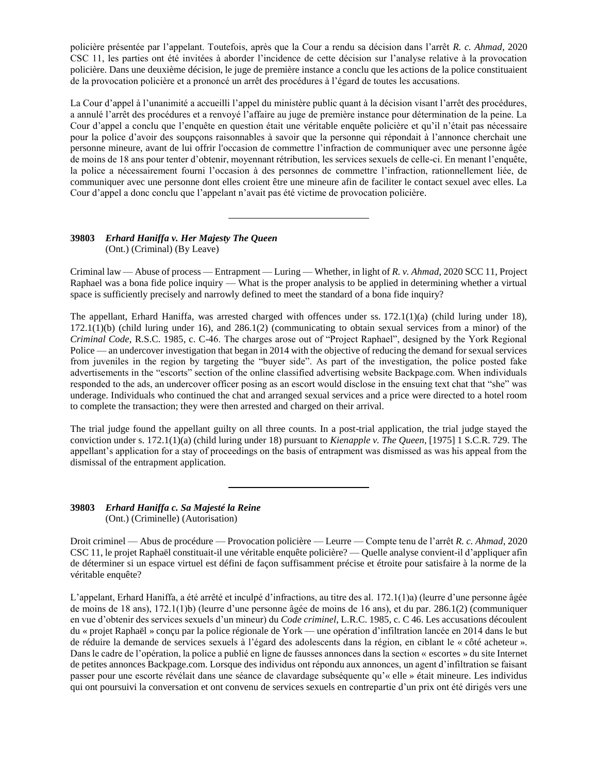policière présentée par l'appelant. Toutefois, après que la Cour a rendu sa décision dans l'arrêt *R. c. Ahmad*, 2020 CSC 11, les parties ont été invitées à aborder l'incidence de cette décision sur l'analyse relative à la provocation policière. Dans une deuxième décision, le juge de première instance a conclu que les actions de la police constituaient de la provocation policière et a prononcé un arrêt des procédures à l'égard de toutes les accusations.

La Cour d'appel à l'unanimité a accueilli l'appel du ministère public quant à la décision visant l'arrêt des procédures, a annulé l'arrêt des procédures et a renvoyé l'affaire au juge de première instance pour détermination de la peine. La Cour d'appel a conclu que l'enquête en question était une véritable enquête policière et qu'il n'était pas nécessaire pour la police d'avoir des soupçons raisonnables à savoir que la personne qui répondait à l'annonce cherchait une personne mineure, avant de lui offrir l'occasion de commettre l'infraction de communiquer avec une personne âgée de moins de 18 ans pour tenter d'obtenir, moyennant rétribution, les services sexuels de celle-ci. En menant l'enquête, la police a nécessairement fourni l'occasion à des personnes de commettre l'infraction, rationnellement liée, de communiquer avec une personne dont elles croient être une mineure afin de faciliter le contact sexuel avec elles. La Cour d'appel a donc conclu que l'appelant n'avait pas été victime de provocation policière.

### **39803** *Erhard Haniffa v. Her Majesty The Queen* (Ont.) (Criminal) (By Leave)

Criminal law — Abuse of process — Entrapment — Luring — Whether, in light of *R. v. Ahmad*, 2020 SCC 11, Project Raphael was a bona fide police inquiry — What is the proper analysis to be applied in determining whether a virtual space is sufficiently precisely and narrowly defined to meet the standard of a bona fide inquiry?

The appellant, Erhard Haniffa, was arrested charged with offences under ss.  $172.1(1)(a)$  (child luring under 18),  $172.1(1)(b)$  (child luring under 16), and  $286.1(2)$  (communicating to obtain sexual services from a minor) of the *Criminal Code*, R.S.C. 1985, c. C-46. The charges arose out of "Project Raphael", designed by the York Regional Police — an undercover investigation that began in 2014 with the objective of reducing the demand for sexual services from juveniles in the region by targeting the "buyer side". As part of the investigation, the police posted fake advertisements in the "escorts" section of the online classified advertising website Backpage.com. When individuals responded to the ads, an undercover officer posing as an escort would disclose in the ensuing text chat that "she" was underage. Individuals who continued the chat and arranged sexual services and a price were directed to a hotel room to complete the transaction; they were then arrested and charged on their arrival.

The trial judge found the appellant guilty on all three counts. In a post-trial application, the trial judge stayed the conviction under s. 172.1(1)(a) (child luring under 18) pursuant to *Kienapple v. The Queen*, [1975] 1 S.C.R. 729. The appellant's application for a stay of proceedings on the basis of entrapment was dismissed as was his appeal from the dismissal of the entrapment application.

#### **39803** *Erhard Haniffa c. Sa Majesté la Reine* (Ont.) (Criminelle) (Autorisation)

Droit criminel — Abus de procédure — Provocation policière — Leurre — Compte tenu de l'arrêt *R. c. Ahmad*, 2020 CSC 11, le projet Raphaël constituait-il une véritable enquête policière? — Quelle analyse convient-il d'appliquer afin de déterminer si un espace virtuel est défini de façon suffisamment précise et étroite pour satisfaire à la norme de la véritable enquête?

L'appelant, Erhard Haniffa, a été arrêté et inculpé d'infractions, au titre des al. 172.1(1)a) (leurre d'une personne âgée de moins de 18 ans), 172.1(1)b) (leurre d'une personne âgée de moins de 16 ans), et du par. 286.1(2) (communiquer en vue d'obtenir des services sexuels d'un mineur) du *Code criminel*, L.R.C. 1985, c. C 46. Les accusations découlent du « projet Raphaël » conçu par la police régionale de York — une opération d'infiltration lancée en 2014 dans le but de réduire la demande de services sexuels à l'égard des adolescents dans la région, en ciblant le « côté acheteur ». Dans le cadre de l'opération, la police a publié en ligne de fausses annonces dans la section « escortes » du site Internet de petites annonces Backpage.com. Lorsque des individus ont répondu aux annonces, un agent d'infiltration se faisant passer pour une escorte révélait dans une séance de clavardage subséquente qu'« elle » était mineure. Les individus qui ont poursuivi la conversation et ont convenu de services sexuels en contrepartie d'un prix ont été dirigés vers une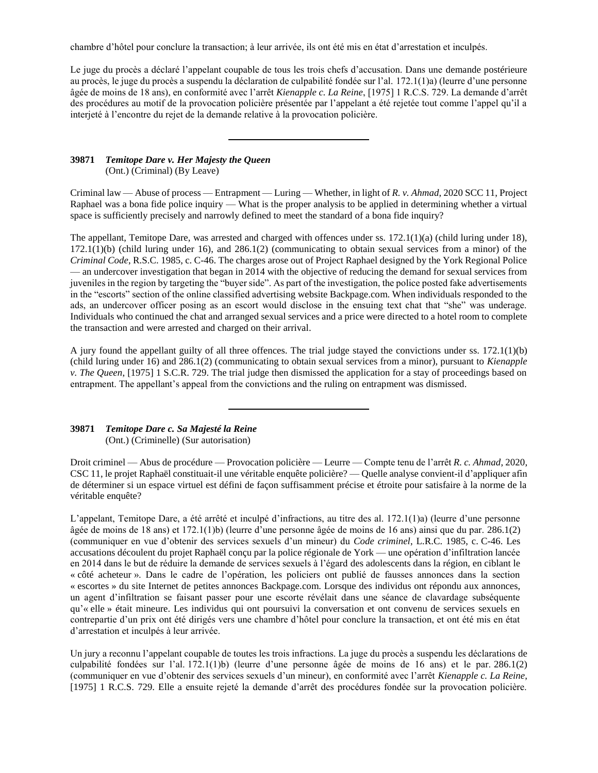chambre d'hôtel pour conclure la transaction; à leur arrivée, ils ont été mis en état d'arrestation et inculpés.

Le juge du procès a déclaré l'appelant coupable de tous les trois chefs d'accusation. Dans une demande postérieure au procès, le juge du procès a suspendu la déclaration de culpabilité fondée sur l'al. 172.1(1)a) (leurre d'une personne âgée de moins de 18 ans), en conformité avec l'arrêt *Kienapple c. La Reine*, [1975] 1 R.C.S. 729. La demande d'arrêt des procédures au motif de la provocation policière présentée par l'appelant a été rejetée tout comme l'appel qu'il a interjeté à l'encontre du rejet de la demande relative à la provocation policière.

#### **39871** *Temitope Dare v. Her Majesty the Queen* (Ont.) (Criminal) (By Leave)

Criminal law — Abuse of process — Entrapment — Luring — Whether, in light of *R. v. Ahmad*, 2020 SCC 11, Project Raphael was a bona fide police inquiry — What is the proper analysis to be applied in determining whether a virtual space is sufficiently precisely and narrowly defined to meet the standard of a bona fide inquiry?

The appellant, Temitope Dare, was arrested and charged with offences under ss. 172.1(1)(a) (child luring under 18),  $172.1(1)(b)$  (child luring under 16), and  $286.1(2)$  (communicating to obtain sexual services from a minor) of the *Criminal Code*, R.S.C. 1985, c. C-46. The charges arose out of Project Raphael designed by the York Regional Police — an undercover investigation that began in 2014 with the objective of reducing the demand for sexual services from juveniles in the region by targeting the "buyer side". As part of the investigation, the police posted fake advertisements in the "escorts" section of the online classified advertising website Backpage.com. When individuals responded to the ads, an undercover officer posing as an escort would disclose in the ensuing text chat that "she" was underage. Individuals who continued the chat and arranged sexual services and a price were directed to a hotel room to complete the transaction and were arrested and charged on their arrival.

A jury found the appellant guilty of all three offences. The trial judge stayed the convictions under ss. 172.1(1)(b) (child luring under 16) and 286.1(2) (communicating to obtain sexual services from a minor), pursuant to *Kienapple v. The Queen*, [1975] 1 S.C.R. 729. The trial judge then dismissed the application for a stay of proceedings based on entrapment. The appellant's appeal from the convictions and the ruling on entrapment was dismissed.

## **39871** *Temitope Dare c. Sa Majesté la Reine* (Ont.) (Criminelle) (Sur autorisation)

Droit criminel — Abus de procédure — Provocation policière — Leurre — Compte tenu de l'arrêt *R. c. Ahmad*, 2020, CSC 11, le projet Raphaël constituait-il une véritable enquête policière? — Quelle analyse convient-il d'appliquer afin de déterminer si un espace virtuel est défini de façon suffisamment précise et étroite pour satisfaire à la norme de la véritable enquête?

L'appelant, Temitope Dare, a été arrêté et inculpé d'infractions, au titre des al. 172.1(1)a) (leurre d'une personne âgée de moins de 18 ans) et 172.1(1)b) (leurre d'une personne âgée de moins de 16 ans) ainsi que du par. 286.1(2) (communiquer en vue d'obtenir des services sexuels d'un mineur) du *Code criminel*, L.R.C. 1985, c. C-46. Les accusations découlent du projet Raphaël conçu par la police régionale de York — une opération d'infiltration lancée en 2014 dans le but de réduire la demande de services sexuels à l'égard des adolescents dans la région, en ciblant le « côté acheteur ». Dans le cadre de l'opération, les policiers ont publié de fausses annonces dans la section « escortes » du site Internet de petites annonces Backpage.com. Lorsque des individus ont répondu aux annonces, un agent d'infiltration se faisant passer pour une escorte révélait dans une séance de clavardage subséquente qu'« elle » était mineure. Les individus qui ont poursuivi la conversation et ont convenu de services sexuels en contrepartie d'un prix ont été dirigés vers une chambre d'hôtel pour conclure la transaction, et ont été mis en état d'arrestation et inculpés à leur arrivée.

Un jury a reconnu l'appelant coupable de toutes les trois infractions. La juge du procès a suspendu les déclarations de culpabilité fondées sur l'al. 172.1(1)b) (leurre d'une personne âgée de moins de 16 ans) et le par. 286.1(2) (communiquer en vue d'obtenir des services sexuels d'un mineur), en conformité avec l'arrêt *Kienapple c. La Reine*, [1975] 1 R.C.S. 729. Elle a ensuite rejeté la demande d'arrêt des procédures fondée sur la provocation policière.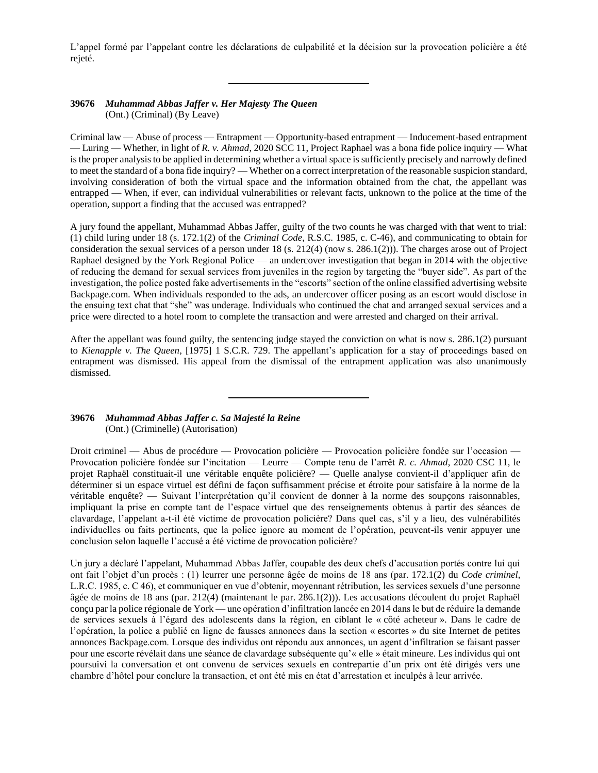L'appel formé par l'appelant contre les déclarations de culpabilité et la décision sur la provocation policière a été rejeté.

#### **39676** *Muhammad Abbas Jaffer v. Her Majesty The Queen* (Ont.) (Criminal) (By Leave)

Criminal law — Abuse of process — Entrapment — Opportunity-based entrapment — Inducement-based entrapment — Luring — Whether, in light of *R. v. Ahmad*, 2020 SCC 11, Project Raphael was a bona fide police inquiry — What is the proper analysis to be applied in determining whether a virtual space is sufficiently precisely and narrowly defined to meet the standard of a bona fide inquiry? — Whether on a correct interpretation of the reasonable suspicion standard, involving consideration of both the virtual space and the information obtained from the chat, the appellant was entrapped — When, if ever, can individual vulnerabilities or relevant facts, unknown to the police at the time of the operation, support a finding that the accused was entrapped?

A jury found the appellant, Muhammad Abbas Jaffer, guilty of the two counts he was charged with that went to trial: (1) child luring under 18 (s. 172.1(2) of the *Criminal Code*, R.S.C. 1985, c. C-46), and communicating to obtain for consideration the sexual services of a person under  $18$  (s.  $212(4)$  (now s.  $286.1(2)$ )). The charges arose out of Project Raphael designed by the York Regional Police — an undercover investigation that began in 2014 with the objective of reducing the demand for sexual services from juveniles in the region by targeting the "buyer side". As part of the investigation, the police posted fake advertisements in the "escorts" section of the online classified advertising website Backpage.com. When individuals responded to the ads, an undercover officer posing as an escort would disclose in the ensuing text chat that "she" was underage. Individuals who continued the chat and arranged sexual services and a price were directed to a hotel room to complete the transaction and were arrested and charged on their arrival.

After the appellant was found guilty, the sentencing judge stayed the conviction on what is now s. 286.1(2) pursuant to *Kienapple v. The Queen*, [1975] 1 S.C.R. 729. The appellant's application for a stay of proceedings based on entrapment was dismissed. His appeal from the dismissal of the entrapment application was also unanimously dismissed.

#### **39676** *Muhammad Abbas Jaffer c. Sa Majesté la Reine* (Ont.) (Criminelle) (Autorisation)

Droit criminel — Abus de procédure — Provocation policière — Provocation policière fondée sur l'occasion — Provocation policière fondée sur l'incitation — Leurre — Compte tenu de l'arrêt *R. c. Ahmad*, 2020 CSC 11, le projet Raphaël constituait-il une véritable enquête policière? — Quelle analyse convient-il d'appliquer afin de déterminer si un espace virtuel est défini de façon suffisamment précise et étroite pour satisfaire à la norme de la véritable enquête? — Suivant l'interprétation qu'il convient de donner à la norme des soupçons raisonnables, impliquant la prise en compte tant de l'espace virtuel que des renseignements obtenus à partir des séances de clavardage, l'appelant a-t-il été victime de provocation policière? Dans quel cas, s'il y a lieu, des vulnérabilités individuelles ou faits pertinents, que la police ignore au moment de l'opération, peuvent-ils venir appuyer une conclusion selon laquelle l'accusé a été victime de provocation policière?

Un jury a déclaré l'appelant, Muhammad Abbas Jaffer, coupable des deux chefs d'accusation portés contre lui qui ont fait l'objet d'un procès : (1) leurrer une personne âgée de moins de 18 ans (par. 172.1(2) du *Code criminel*, L.R.C. 1985, c. C 46), et communiquer en vue d'obtenir, moyennant rétribution, les services sexuels d'une personne âgée de moins de 18 ans (par. 212(4) (maintenant le par. 286.1(2))). Les accusations découlent du projet Raphaël conçu par la police régionale de York — une opération d'infiltration lancée en 2014 dans le but de réduire la demande de services sexuels à l'égard des adolescents dans la région, en ciblant le « côté acheteur ». Dans le cadre de l'opération, la police a publié en ligne de fausses annonces dans la section « escortes » du site Internet de petites annonces Backpage.com. Lorsque des individus ont répondu aux annonces, un agent d'infiltration se faisant passer pour une escorte révélait dans une séance de clavardage subséquente qu'« elle » était mineure. Les individus qui ont poursuivi la conversation et ont convenu de services sexuels en contrepartie d'un prix ont été dirigés vers une chambre d'hôtel pour conclure la transaction, et ont été mis en état d'arrestation et inculpés à leur arrivée.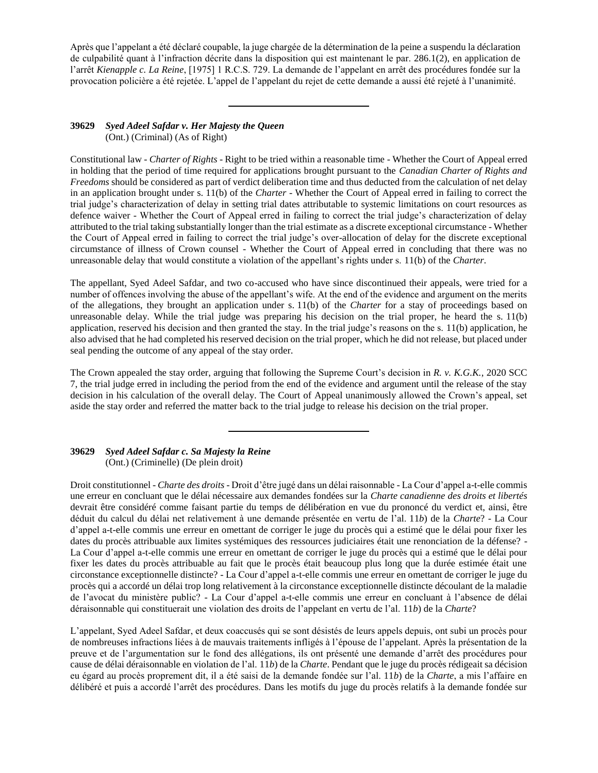Après que l'appelant a été déclaré coupable, la juge chargée de la détermination de la peine a suspendu la déclaration de culpabilité quant à l'infraction décrite dans la disposition qui est maintenant le par. 286.1(2), en application de l'arrêt *Kienapple c. La Reine*, [1975] 1 R.C.S. 729. La demande de l'appelant en arrêt des procédures fondée sur la provocation policière a été rejetée. L'appel de l'appelant du rejet de cette demande a aussi été rejeté à l'unanimité.

## **39629** *Syed Adeel Safdar v. Her Majesty the Queen* (Ont.) (Criminal) (As of Right)

Constitutional law - *Charter of Rights* - Right to be tried within a reasonable time - Whether the Court of Appeal erred in holding that the period of time required for applications brought pursuant to the *Canadian Charter of Rights and Freedoms* should be considered as part of verdict deliberation time and thus deducted from the calculation of net delay in an application brought under s. 11(b) of the *Charter* - Whether the Court of Appeal erred in failing to correct the trial judge's characterization of delay in setting trial dates attributable to systemic limitations on court resources as defence waiver - Whether the Court of Appeal erred in failing to correct the trial judge's characterization of delay attributed to the trial taking substantially longer than the trial estimate as a discrete exceptional circumstance - Whether the Court of Appeal erred in failing to correct the trial judge's over-allocation of delay for the discrete exceptional circumstance of illness of Crown counsel - Whether the Court of Appeal erred in concluding that there was no unreasonable delay that would constitute a violation of the appellant's rights under s. 11(b) of the *Charter*.

The appellant, Syed Adeel Safdar, and two co-accused who have since discontinued their appeals, were tried for a number of offences involving the abuse of the appellant's wife. At the end of the evidence and argument on the merits of the allegations, they brought an application under s. 11(b) of the *Charter* for a stay of proceedings based on unreasonable delay. While the trial judge was preparing his decision on the trial proper, he heard the s.  $11(b)$ application, reserved his decision and then granted the stay. In the trial judge's reasons on the s. 11(b) application, he also advised that he had completed his reserved decision on the trial proper, which he did not release, but placed under seal pending the outcome of any appeal of the stay order.

The Crown appealed the stay order, arguing that following the Supreme Court's decision in *R. v. K.G.K.*, 2020 SCC 7, the trial judge erred in including the period from the end of the evidence and argument until the release of the stay decision in his calculation of the overall delay. The Court of Appeal unanimously allowed the Crown's appeal, set aside the stay order and referred the matter back to the trial judge to release his decision on the trial proper.

**39629** *Syed Adeel Safdar c. Sa Majesty la Reine* (Ont.) (Criminelle) (De plein droit)

Droit constitutionnel - *Charte des droits* - Droit d'être jugé dans un délai raisonnable - La Cour d'appel a-t-elle commis une erreur en concluant que le délai nécessaire aux demandes fondées sur la *Charte canadienne des droits et libertés* devrait être considéré comme faisant partie du temps de délibération en vue du prononcé du verdict et, ainsi, être déduit du calcul du délai net relativement à une demande présentée en vertu de l'al. 11*b*) de la *Charte*? - La Cour d'appel a-t-elle commis une erreur en omettant de corriger le juge du procès qui a estimé que le délai pour fixer les dates du procès attribuable aux limites systémiques des ressources judiciaires était une renonciation de la défense? - La Cour d'appel a-t-elle commis une erreur en omettant de corriger le juge du procès qui a estimé que le délai pour fixer les dates du procès attribuable au fait que le procès était beaucoup plus long que la durée estimée était une circonstance exceptionnelle distincte? - La Cour d'appel a-t-elle commis une erreur en omettant de corriger le juge du procès qui a accordé un délai trop long relativement à la circonstance exceptionnelle distincte découlant de la maladie de l'avocat du ministère public? - La Cour d'appel a-t-elle commis une erreur en concluant à l'absence de délai déraisonnable qui constituerait une violation des droits de l'appelant en vertu de l'al. 11*b*) de la *Charte*?

L'appelant, Syed Adeel Safdar, et deux coaccusés qui se sont désistés de leurs appels depuis, ont subi un procès pour de nombreuses infractions liées à de mauvais traitements infligés à l'épouse de l'appelant. Après la présentation de la preuve et de l'argumentation sur le fond des allégations, ils ont présenté une demande d'arrêt des procédures pour cause de délai déraisonnable en violation de l'al. 11*b*) de la *Charte*. Pendant que le juge du procès rédigeait sa décision eu égard au procès proprement dit, il a été saisi de la demande fondée sur l'al. 11*b*) de la *Charte*, a mis l'affaire en délibéré et puis a accordé l'arrêt des procédures. Dans les motifs du juge du procès relatifs à la demande fondée sur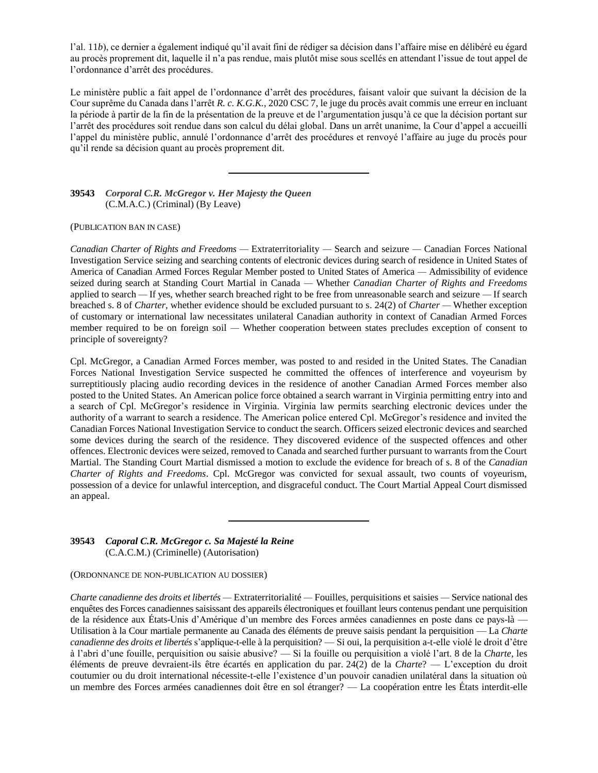l'al. 11*b*), ce dernier a également indiqué qu'il avait fini de rédiger sa décision dans l'affaire mise en délibéré eu égard au procès proprement dit, laquelle il n'a pas rendue, mais plutôt mise sous scellés en attendant l'issue de tout appel de l'ordonnance d'arrêt des procédures.

Le ministère public a fait appel de l'ordonnance d'arrêt des procédures, faisant valoir que suivant la décision de la Cour suprême du Canada dans l'arrêt *R. c. K.G.K.*, 2020 CSC 7, le juge du procès avait commis une erreur en incluant la période à partir de la fin de la présentation de la preuve et de l'argumentation jusqu'à ce que la décision portant sur l'arrêt des procédures soit rendue dans son calcul du délai global. Dans un arrêt unanime, la Cour d'appel a accueilli l'appel du ministère public, annulé l'ordonnance d'arrêt des procédures et renvoyé l'affaire au juge du procès pour qu'il rende sa décision quant au procès proprement dit.

**39543** *Corporal C.R. McGregor v. Her Majesty the Queen* (C.M.A.C.) (Criminal) (By Leave)

(PUBLICATION BAN IN CASE)

*Canadian Charter of Rights and Freedoms —* Extraterritoriality *—* Search and seizure *—* Canadian Forces National Investigation Service seizing and searching contents of electronic devices during search of residence in United States of America of Canadian Armed Forces Regular Member posted to United States of America *—* Admissibility of evidence seized during search at Standing Court Martial in Canada *—* Whether *Canadian Charter of Rights and Freedoms*  applied to search *—* If yes, whether search breached right to be free from unreasonable search and seizure *—* If search breached s. 8 of *Charter*, whether evidence should be excluded pursuant to s. 24(2) of *Charter —* Whether exception of customary or international law necessitates unilateral Canadian authority in context of Canadian Armed Forces member required to be on foreign soil *—* Whether cooperation between states precludes exception of consent to principle of sovereignty?

Cpl. McGregor, a Canadian Armed Forces member, was posted to and resided in the United States. The Canadian Forces National Investigation Service suspected he committed the offences of interference and voyeurism by surreptitiously placing audio recording devices in the residence of another Canadian Armed Forces member also posted to the United States. An American police force obtained a search warrant in Virginia permitting entry into and a search of Cpl. McGregor's residence in Virginia. Virginia law permits searching electronic devices under the authority of a warrant to search a residence. The American police entered Cpl. McGregor's residence and invited the Canadian Forces National Investigation Service to conduct the search. Officers seized electronic devices and searched some devices during the search of the residence. They discovered evidence of the suspected offences and other offences. Electronic devices were seized, removed to Canada and searched further pursuant to warrants from the Court Martial. The Standing Court Martial dismissed a motion to exclude the evidence for breach of s. 8 of the *Canadian Charter of Rights and Freedoms*. Cpl. McGregor was convicted for sexual assault, two counts of voyeurism, possession of a device for unlawful interception, and disgraceful conduct. The Court Martial Appeal Court dismissed an appeal.

**39543** *Caporal C.R. McGregor c. Sa Majesté la Reine* (C.A.C.M.) (Criminelle) (Autorisation)

(ORDONNANCE DE NON-PUBLICATION AU DOSSIER)

*Charte canadienne des droits et libertés —* Extraterritorialité *—* Fouilles, perquisitions et saisies *—* Service national des enquêtes des Forces canadiennes saisissant des appareils électroniques et fouillant leurs contenus pendant une perquisition de la résidence aux États-Unis d'Amérique d'un membre des Forces armées canadiennes en poste dans ce pays-là — Utilisation à la Cour martiale permanente au Canada des éléments de preuve saisis pendant la perquisition — La *Charte canadienne des droits et libertés* s'applique-t-elle à la perquisition? — Si oui, la perquisition a-t-elle violé le droit d'être à l'abri d'une fouille, perquisition ou saisie abusive? — Si la fouille ou perquisition a violé l'art. 8 de la *Charte*, les éléments de preuve devraient-ils être écartés en application du par. 24(2) de la *Charte*? — L'exception du droit coutumier ou du droit international nécessite-t-elle l'existence d'un pouvoir canadien unilatéral dans la situation où un membre des Forces armées canadiennes doit être en sol étranger? — La coopération entre les États interdit-elle